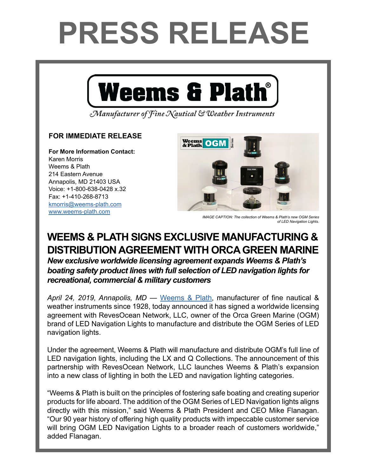## **PRESS RELEASE**



Manufacturer of Fine Nautical & Weather Instruments

## **FOR IMMEDIATE RELEASE**

**For More Information Contact:**  Karen Morris Weems & Plath 214 Eastern Avenue Annapolis, MD 21403 USA Voice: +1-800-638-0428 x.32 Fax: +1-410-268-8713 [kmorris@weems-plath.com](mailto:kmorris%40weems-plath.com?subject=Regarding%20Press%20Release) [www.weems-plath.com](http://www.weems-plath.com)



*IMAGE CAPTION: The collection of Weems & Plath's new OGM Series of LED Navigation Lights.*

## **WEEMS & PLATH SIGNS EXCLUSIVE MANUFACTURING & DISTRIBUTION AGREEMENT WITH ORCA GREEN MARINE**

*New exclusive worldwide licensing agreement expands Weems & Plath's boating safety product lines with full selection of LED navigation lights for recreational, commercial & military customers*

*April 24, 2019, Annapolis, MD* — [Weems & Plath](http://www.weems-plath.com/), manufacturer of fine nautical & weather instruments since 1928, today announced it has signed a worldwide licensing agreement with RevesOcean Network, LLC, owner of the Orca Green Marine (OGM) brand of LED Navigation Lights to manufacture and distribute the OGM Series of LED navigation lights.

Under the agreement, Weems & Plath will manufacture and distribute OGM's full line of LED navigation lights, including the LX and Q Collections. The announcement of this partnership with RevesOcean Network, LLC launches Weems & Plath's expansion into a new class of lighting in both the LED and navigation lighting categories.

"Weems & Plath is built on the principles of fostering safe boating and creating superior products for life aboard. The addition of the OGM Series of LED Navigation lights aligns directly with this mission," said Weems & Plath President and CEO Mike Flanagan. "Our 90 year history of offering high quality products with impeccable customer service will bring OGM LED Navigation Lights to a broader reach of customers worldwide," added Flanagan.